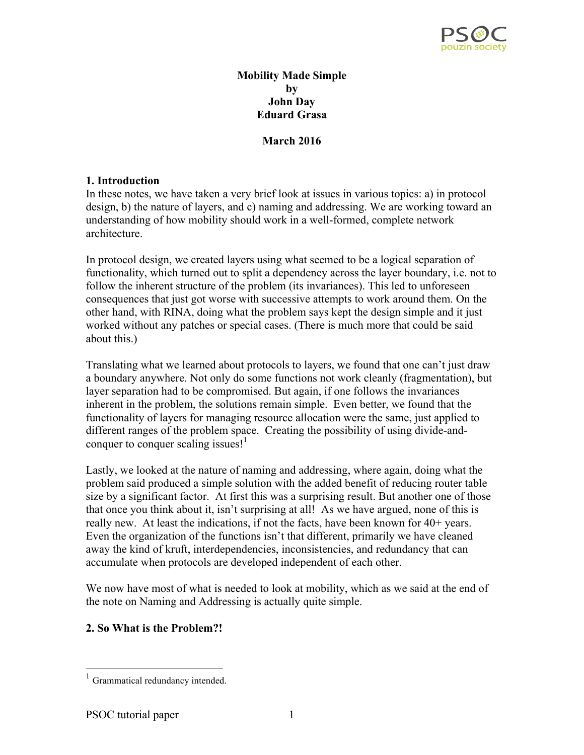

#### **Mobility Made Simple by John Day Eduard Grasa**

**March 2016**

#### **1. Introduction**

In these notes, we have taken a very brief look at issues in various topics: a) in protocol design, b) the nature of layers, and c) naming and addressing. We are working toward an understanding of how mobility should work in a well-formed, complete network architecture.

In protocol design, we created layers using what seemed to be a logical separation of functionality, which turned out to split a dependency across the layer boundary, i.e. not to follow the inherent structure of the problem (its invariances). This led to unforeseen consequences that just got worse with successive attempts to work around them. On the other hand, with RINA, doing what the problem says kept the design simple and it just worked without any patches or special cases. (There is much more that could be said about this.)

Translating what we learned about protocols to layers, we found that one can't just draw a boundary anywhere. Not only do some functions not work cleanly (fragmentation), but layer separation had to be compromised. But again, if one follows the invariances inherent in the problem, the solutions remain simple. Even better, we found that the functionality of layers for managing resource allocation were the same, just applied to different ranges of the problem space. Creating the possibility of using divide-andconquer to conquer scaling issues! $<sup>1</sup>$ </sup>

Lastly, we looked at the nature of naming and addressing, where again, doing what the problem said produced a simple solution with the added benefit of reducing router table size by a significant factor. At first this was a surprising result. But another one of those that once you think about it, isn't surprising at all! As we have argued, none of this is really new. At least the indications, if not the facts, have been known for 40+ years. Even the organization of the functions isn't that different, primarily we have cleaned away the kind of kruft, interdependencies, inconsistencies, and redundancy that can accumulate when protocols are developed independent of each other.

We now have most of what is needed to look at mobility, which as we said at the end of the note on Naming and Addressing is actually quite simple.

## **2. So What is the Problem?!**

 <sup>1</sup> Grammatical redundancy intended.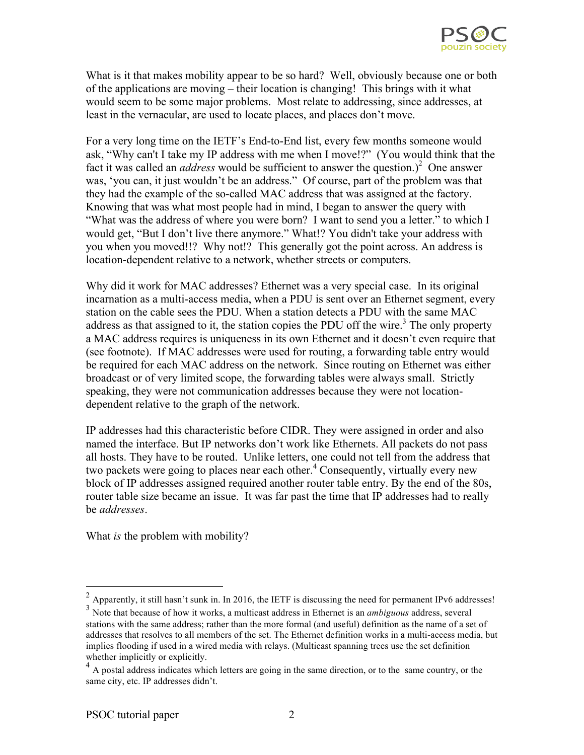

What is it that makes mobility appear to be so hard? Well, obviously because one or both of the applications are moving – their location is changing! This brings with it what would seem to be some major problems. Most relate to addressing, since addresses, at least in the vernacular, are used to locate places, and places don't move.

For a very long time on the IETF's End-to-End list, every few months someone would ask, "Why can't I take my IP address with me when I move!?" (You would think that the fact it was called an *address* would be sufficient to answer the question.)<sup>2</sup> One answer was, 'you can, it just wouldn't be an address." Of course, part of the problem was that they had the example of the so-called MAC address that was assigned at the factory. Knowing that was what most people had in mind, I began to answer the query with "What was the address of where you were born? I want to send you a letter." to which I would get, "But I don't live there anymore." What!? You didn't take your address with you when you moved!!? Why not!? This generally got the point across. An address is location-dependent relative to a network, whether streets or computers.

Why did it work for MAC addresses? Ethernet was a very special case. In its original incarnation as a multi-access media, when a PDU is sent over an Ethernet segment, every station on the cable sees the PDU. When a station detects a PDU with the same MAC address as that assigned to it, the station copies the PDU off the wire.<sup>3</sup> The only property a MAC address requires is uniqueness in its own Ethernet and it doesn't even require that (see footnote). If MAC addresses were used for routing, a forwarding table entry would be required for each MAC address on the network. Since routing on Ethernet was either broadcast or of very limited scope, the forwarding tables were always small. Strictly speaking, they were not communication addresses because they were not locationdependent relative to the graph of the network.

IP addresses had this characteristic before CIDR. They were assigned in order and also named the interface. But IP networks don't work like Ethernets. All packets do not pass all hosts. They have to be routed. Unlike letters, one could not tell from the address that two packets were going to places near each other.<sup>4</sup> Consequently, virtually every new block of IP addresses assigned required another router table entry. By the end of the 80s, router table size became an issue. It was far past the time that IP addresses had to really be *addresses*.

What *is* the problem with mobility?

 $^{2}$  Apparently, it still hasn't sunk in. In 2016, the IETF is discussing the need for permanent IPv6 addresses!

<sup>3</sup> Note that because of how it works, a multicast address in Ethernet is an *ambiguous* address, several stations with the same address; rather than the more formal (and useful) definition as the name of a set of addresses that resolves to all members of the set. The Ethernet definition works in a multi-access media, but implies flooding if used in a wired media with relays. (Multicast spanning trees use the set definition whether implicitly or explicitly.

<sup>&</sup>lt;sup>4</sup> A postal address indicates which letters are going in the same direction, or to the same country, or the same city, etc. IP addresses didn't.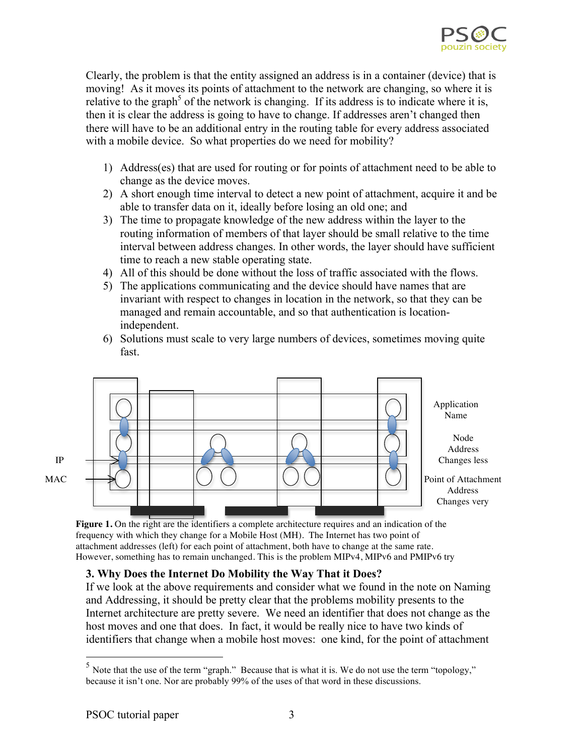

Clearly, the problem is that the entity assigned an address is in a container (device) that is moving! As it moves its points of attachment to the network are changing, so where it is relative to the graph<sup>5</sup> of the network is changing. If its address is to indicate where it is, then it is clear the address is going to have to change. If addresses aren't changed then there will have to be an additional entry in the routing table for every address associated with a mobile device. So what properties do we need for mobility?

- 1) Address(es) that are used for routing or for points of attachment need to be able to change as the device moves.
- 2) A short enough time interval to detect a new point of attachment, acquire it and be able to transfer data on it, ideally before losing an old one; and
- 3) The time to propagate knowledge of the new address within the layer to the routing information of members of that layer should be small relative to the time interval between address changes. In other words, the layer should have sufficient time to reach a new stable operating state.
- 4) All of this should be done without the loss of traffic associated with the flows.
- 5) The applications communicating and the device should have names that are invariant with respect to changes in location in the network, so that they can be managed and remain accountable, and so that authentication is locationindependent.
- 6) Solutions must scale to very large numbers of devices, sometimes moving quite fast.



Figure 1. On the right are the identifiers a complete architecture requires and an indication of the frequency with which they change for a Mobile Host (MH). The Internet has two point of attachment addresses (left) for each point of attachment, both have to change at the same rate. However, something has to remain unchanged. This is the problem MIPv4, MIPv6 and PMIPv6 try

# **3. Why Does the Internet Do Mobility the Way That it Does?**

If we look at the above requirements and consider what we found in the note on Naming and Addressing, it should be pretty clear that the problems mobility presents to the Internet architecture are pretty severe. We need an identifier that does not change as the host moves and one that does. In fact, it would be really nice to have two kinds of identifiers that change when a mobile host moves: one kind, for the point of attachment

<sup>&</sup>lt;sup>5</sup> Note that the use of the term "graph." Because that is what it is. We do not use the term "topology," because it isn't one. Nor are probably 99% of the uses of that word in these discussions.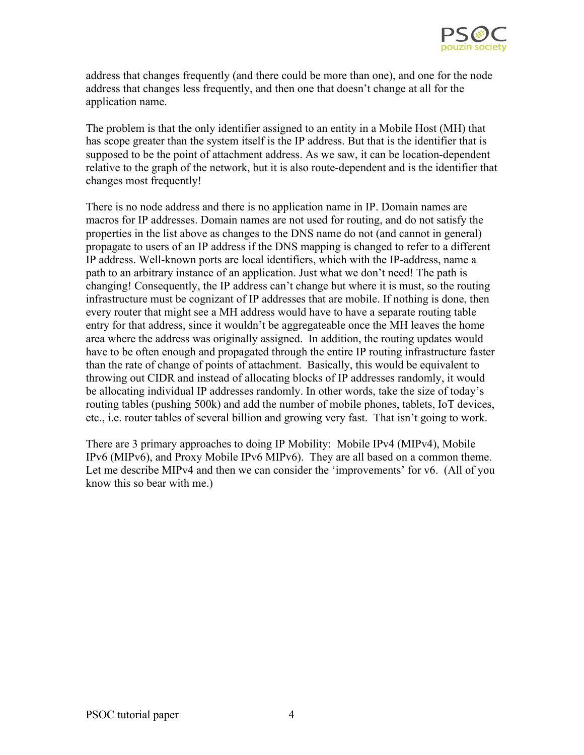

address that changes frequently (and there could be more than one), and one for the node address that changes less frequently, and then one that doesn't change at all for the application name.

The problem is that the only identifier assigned to an entity in a Mobile Host (MH) that has scope greater than the system itself is the IP address. But that is the identifier that is supposed to be the point of attachment address. As we saw, it can be location-dependent relative to the graph of the network, but it is also route-dependent and is the identifier that changes most frequently!

There is no node address and there is no application name in IP. Domain names are macros for IP addresses. Domain names are not used for routing, and do not satisfy the properties in the list above as changes to the DNS name do not (and cannot in general) propagate to users of an IP address if the DNS mapping is changed to refer to a different IP address. Well-known ports are local identifiers, which with the IP-address, name a path to an arbitrary instance of an application. Just what we don't need! The path is changing! Consequently, the IP address can't change but where it is must, so the routing infrastructure must be cognizant of IP addresses that are mobile. If nothing is done, then every router that might see a MH address would have to have a separate routing table entry for that address, since it wouldn't be aggregateable once the MH leaves the home area where the address was originally assigned. In addition, the routing updates would have to be often enough and propagated through the entire IP routing infrastructure faster than the rate of change of points of attachment. Basically, this would be equivalent to throwing out CIDR and instead of allocating blocks of IP addresses randomly, it would be allocating individual IP addresses randomly. In other words, take the size of today's routing tables (pushing 500k) and add the number of mobile phones, tablets, IoT devices, etc., i.e. router tables of several billion and growing very fast. That isn't going to work.

There are 3 primary approaches to doing IP Mobility: Mobile IPv4 (MIPv4), Mobile IPv6 (MIPv6), and Proxy Mobile IPv6 MIPv6). They are all based on a common theme. Let me describe MIPv4 and then we can consider the 'improvements' for v6. (All of you know this so bear with me.)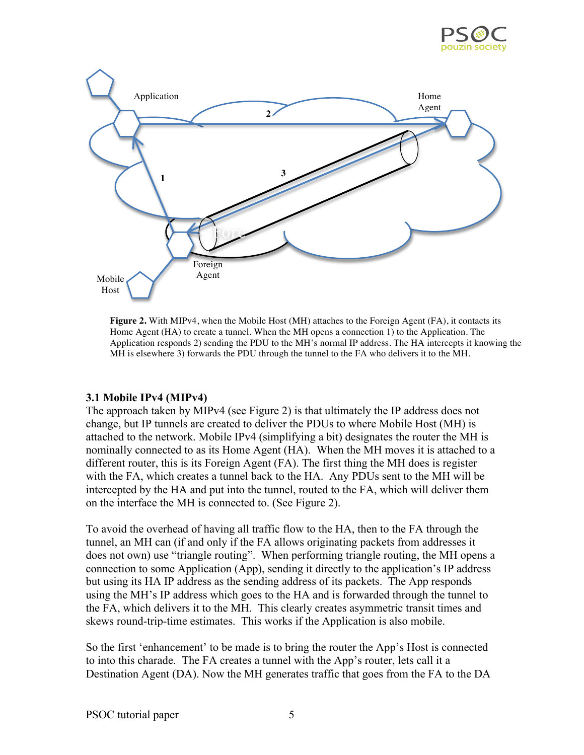



**Figure 2.** With MIPv4, when the Mobile Host (MH) attaches to the Foreign Agent (FA), it contacts its Home Agent (HA) to create a tunnel. When the MH opens a connection 1) to the Application. The Application responds 2) sending the PDU to the MH's normal IP address. The HA intercepts it knowing the MH is elsewhere 3) forwards the PDU through the tunnel to the FA who delivers it to the MH.

#### **3.1 Mobile IPv4 (MIPv4)**

The approach taken by MIPv4 (see Figure 2) is that ultimately the IP address does not change, but IP tunnels are created to deliver the PDUs to where Mobile Host (MH) is attached to the network. Mobile IPv4 (simplifying a bit) designates the router the MH is nominally connected to as its Home Agent (HA). When the MH moves it is attached to a different router, this is its Foreign Agent (FA). The first thing the MH does is register with the FA, which creates a tunnel back to the HA. Any PDUs sent to the MH will be intercepted by the HA and put into the tunnel, routed to the FA, which will deliver them on the interface the MH is connected to. (See Figure 2).

To avoid the overhead of having all traffic flow to the HA, then to the FA through the tunnel, an MH can (if and only if the FA allows originating packets from addresses it does not own) use "triangle routing". When performing triangle routing, the MH opens a connection to some Application (App), sending it directly to the application's IP address but using its HA IP address as the sending address of its packets. The App responds using the MH's IP address which goes to the HA and is forwarded through the tunnel to the FA, which delivers it to the MH. This clearly creates asymmetric transit times and skews round-trip-time estimates. This works if the Application is also mobile.

So the first 'enhancement' to be made is to bring the router the App's Host is connected to into this charade. The FA creates a tunnel with the App's router, lets call it a Destination Agent (DA). Now the MH generates traffic that goes from the FA to the DA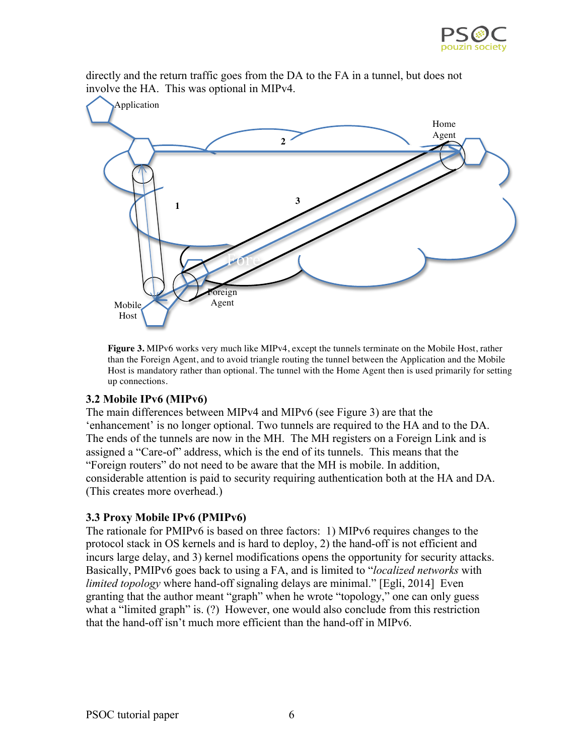

directly and the return traffic goes from the DA to the FA in a tunnel, but does not involve the HA. This was optional in MIPv4.



**Figure 3.** MIPv6 works very much like MIPv4, except the tunnels terminate on the Mobile Host, rather than the Foreign Agent, and to avoid triangle routing the tunnel between the Application and the Mobile Host is mandatory rather than optional. The tunnel with the Home Agent then is used primarily for setting up connections.

#### **3.2 Mobile IPv6 (MIPv6)**

The main differences between MIPv4 and MIPv6 (see Figure 3) are that the 'enhancement' is no longer optional. Two tunnels are required to the HA and to the DA. The ends of the tunnels are now in the MH. The MH registers on a Foreign Link and is assigned a "Care-of" address, which is the end of its tunnels. This means that the "Foreign routers" do not need to be aware that the MH is mobile. In addition, considerable attention is paid to security requiring authentication both at the HA and DA. (This creates more overhead.)

## **3.3 Proxy Mobile IPv6 (PMIPv6)**

The rationale for PMIPv6 is based on three factors: 1) MIPv6 requires changes to the protocol stack in OS kernels and is hard to deploy, 2) the hand-off is not efficient and incurs large delay, and 3) kernel modifications opens the opportunity for security attacks. Basically, PMIPv6 goes back to using a FA, and is limited to "*localized networks* with *limited topology* where hand-off signaling delays are minimal." [Egli, 2014] Even granting that the author meant "graph" when he wrote "topology," one can only guess what a "limited graph" is. (?) However, one would also conclude from this restriction that the hand-off isn't much more efficient than the hand-off in MIPv6.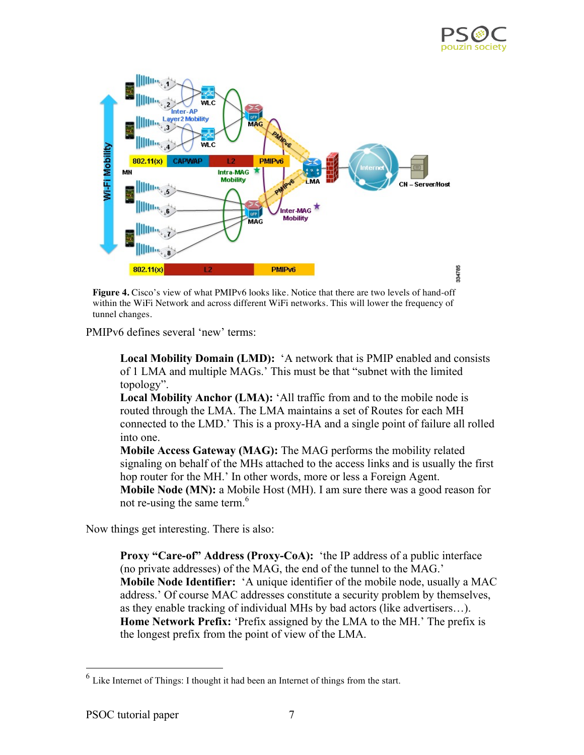



**Figure 4.** Cisco's view of what PMIPv6 looks like. Notice that there are two levels of hand-off within the WiFi Network and across different WiFi networks. This will lower the frequency of tunnel changes.

PMIPv6 defines several 'new' terms:

**Local Mobility Domain (LMD):** 'A network that is PMIP enabled and consists of 1 LMA and multiple MAGs.' This must be that "subnet with the limited topology".

**Local Mobility Anchor (LMA):** 'All traffic from and to the mobile node is routed through the LMA. The LMA maintains a set of Routes for each MH connected to the LMD.' This is a proxy-HA and a single point of failure all rolled into one.

**Mobile Access Gateway (MAG):** The MAG performs the mobility related signaling on behalf of the MHs attached to the access links and is usually the first hop router for the MH.' In other words, more or less a Foreign Agent. **Mobile Node (MN):** a Mobile Host (MH). I am sure there was a good reason for not re-using the same term.<sup>6</sup>

Now things get interesting. There is also:

**Proxy "Care-of" Address (Proxy-CoA):** 'the IP address of a public interface (no private addresses) of the MAG, the end of the tunnel to the MAG.' **Mobile Node Identifier:** 'A unique identifier of the mobile node, usually a MAC address.' Of course MAC addresses constitute a security problem by themselves, as they enable tracking of individual MHs by bad actors (like advertisers…). **Home Network Prefix:** 'Prefix assigned by the LMA to the MH.' The prefix is the longest prefix from the point of view of the LMA.

 <sup>6</sup> Like Internet of Things: I thought it had been an Internet of things from the start.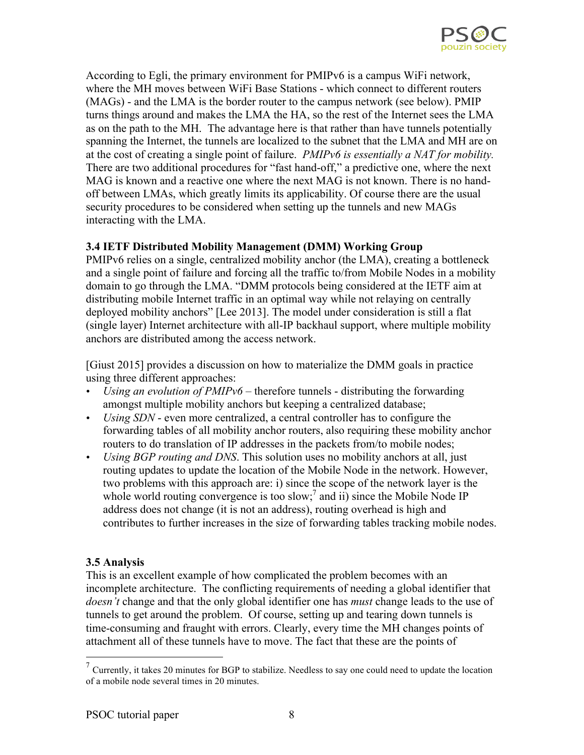

According to Egli, the primary environment for PMIPv6 is a campus WiFi network, where the MH moves between WiFi Base Stations - which connect to different routers (MAGs) - and the LMA is the border router to the campus network (see below). PMIP turns things around and makes the LMA the HA, so the rest of the Internet sees the LMA as on the path to the MH. The advantage here is that rather than have tunnels potentially spanning the Internet, the tunnels are localized to the subnet that the LMA and MH are on at the cost of creating a single point of failure. *PMIPv6 is essentially a NAT for mobility.*  There are two additional procedures for "fast hand-off," a predictive one, where the next MAG is known and a reactive one where the next MAG is not known. There is no handoff between LMAs, which greatly limits its applicability. Of course there are the usual security procedures to be considered when setting up the tunnels and new MAGs interacting with the LMA.

## **3.4 IETF Distributed Mobility Management (DMM) Working Group**

PMIPv6 relies on a single, centralized mobility anchor (the LMA), creating a bottleneck and a single point of failure and forcing all the traffic to/from Mobile Nodes in a mobility domain to go through the LMA. "DMM protocols being considered at the IETF aim at distributing mobile Internet traffic in an optimal way while not relaying on centrally deployed mobility anchors" [Lee 2013]. The model under consideration is still a flat (single layer) Internet architecture with all-IP backhaul support, where multiple mobility anchors are distributed among the access network.

[Giust 2015] provides a discussion on how to materialize the DMM goals in practice using three different approaches:

- *Using an evolution of PMIPv6* therefore tunnels distributing the forwarding amongst multiple mobility anchors but keeping a centralized database;
- *Using SDN* even more centralized, a central controller has to configure the forwarding tables of all mobility anchor routers, also requiring these mobility anchor routers to do translation of IP addresses in the packets from/to mobile nodes;
- *Using BGP routing and DNS*. This solution uses no mobility anchors at all, just routing updates to update the location of the Mobile Node in the network. However, two problems with this approach are: i) since the scope of the network layer is the whole world routing convergence is too slow;<sup>7</sup> and ii) since the Mobile Node IP address does not change (it is not an address), routing overhead is high and contributes to further increases in the size of forwarding tables tracking mobile nodes.

## **3.5 Analysis**

This is an excellent example of how complicated the problem becomes with an incomplete architecture. The conflicting requirements of needing a global identifier that *doesn't* change and that the only global identifier one has *must* change leads to the use of tunnels to get around the problem. Of course, setting up and tearing down tunnels is time-consuming and fraught with errors. Clearly, every time the MH changes points of attachment all of these tunnels have to move. The fact that these are the points of

 $<sup>7</sup>$  Currently, it takes 20 minutes for BGP to stabilize. Needless to say one could need to update the location</sup> of a mobile node several times in 20 minutes.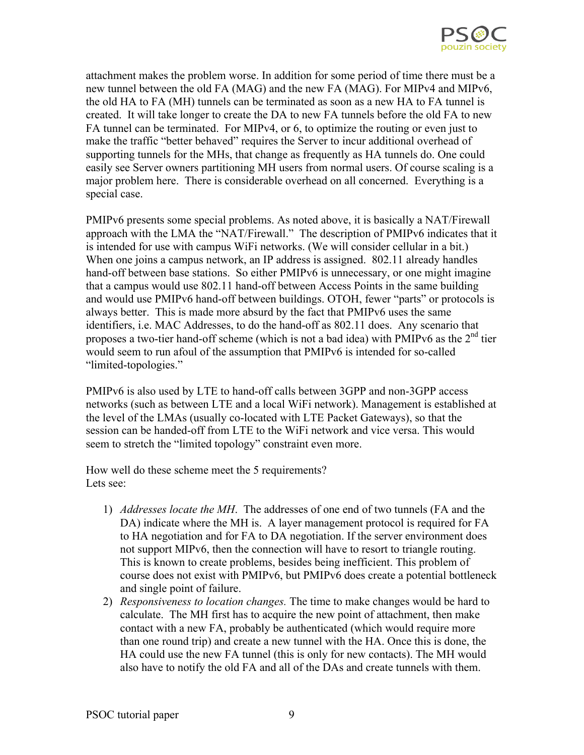

attachment makes the problem worse. In addition for some period of time there must be a new tunnel between the old FA (MAG) and the new FA (MAG). For MIPv4 and MIPv6, the old HA to FA (MH) tunnels can be terminated as soon as a new HA to FA tunnel is created. It will take longer to create the DA to new FA tunnels before the old FA to new FA tunnel can be terminated. For MIPv4, or 6, to optimize the routing or even just to make the traffic "better behaved" requires the Server to incur additional overhead of supporting tunnels for the MHs, that change as frequently as HA tunnels do. One could easily see Server owners partitioning MH users from normal users. Of course scaling is a major problem here. There is considerable overhead on all concerned. Everything is a special case.

PMIPv6 presents some special problems. As noted above, it is basically a NAT/Firewall approach with the LMA the "NAT/Firewall." The description of PMIPv6 indicates that it is intended for use with campus WiFi networks. (We will consider cellular in a bit.) When one joins a campus network, an IP address is assigned. 802.11 already handles hand-off between base stations. So either PMIPv6 is unnecessary, or one might imagine that a campus would use 802.11 hand-off between Access Points in the same building and would use PMIPv6 hand-off between buildings. OTOH, fewer "parts" or protocols is always better. This is made more absurd by the fact that PMIPv6 uses the same identifiers, i.e. MAC Addresses, to do the hand-off as 802.11 does. Any scenario that proposes a two-tier hand-off scheme (which is not a bad idea) with PMIPv6 as the  $2<sup>nd</sup>$  tier would seem to run afoul of the assumption that PMIPv6 is intended for so-called "limited-topologies."

PMIPv6 is also used by LTE to hand-off calls between 3GPP and non-3GPP access networks (such as between LTE and a local WiFi network). Management is established at the level of the LMAs (usually co-located with LTE Packet Gateways), so that the session can be handed-off from LTE to the WiFi network and vice versa. This would seem to stretch the "limited topology" constraint even more.

How well do these scheme meet the 5 requirements? Lets see:

- 1) *Addresses locate the MH*. The addresses of one end of two tunnels (FA and the DA) indicate where the MH is. A layer management protocol is required for FA to HA negotiation and for FA to DA negotiation. If the server environment does not support MIPv6, then the connection will have to resort to triangle routing. This is known to create problems, besides being inefficient. This problem of course does not exist with PMIPv6, but PMIPv6 does create a potential bottleneck and single point of failure.
- 2) *Responsiveness to location changes.* The time to make changes would be hard to calculate. The MH first has to acquire the new point of attachment, then make contact with a new FA, probably be authenticated (which would require more than one round trip) and create a new tunnel with the HA. Once this is done, the HA could use the new FA tunnel (this is only for new contacts). The MH would also have to notify the old FA and all of the DAs and create tunnels with them.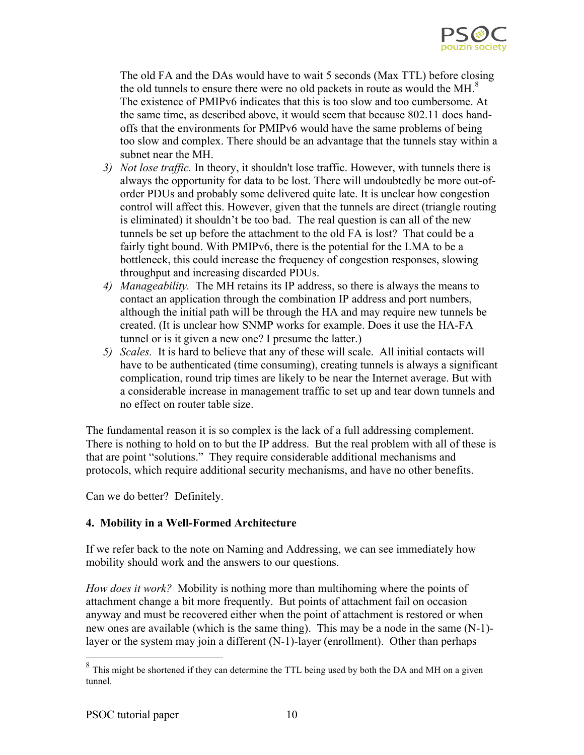

The old FA and the DAs would have to wait 5 seconds (Max TTL) before closing the old tunnels to ensure there were no old packets in route as would the  $MH<sup>8</sup>$ The existence of PMIPv6 indicates that this is too slow and too cumbersome. At the same time, as described above, it would seem that because 802.11 does handoffs that the environments for PMIPv6 would have the same problems of being too slow and complex. There should be an advantage that the tunnels stay within a subnet near the MH.

- *3) Not lose traffic.* In theory, it shouldn't lose traffic. However, with tunnels there is always the opportunity for data to be lost. There will undoubtedly be more out-oforder PDUs and probably some delivered quite late. It is unclear how congestion control will affect this. However, given that the tunnels are direct (triangle routing is eliminated) it shouldn't be too bad. The real question is can all of the new tunnels be set up before the attachment to the old FA is lost? That could be a fairly tight bound. With PMIPv6, there is the potential for the LMA to be a bottleneck, this could increase the frequency of congestion responses, slowing throughput and increasing discarded PDUs.
- *4) Manageability.* The MH retains its IP address, so there is always the means to contact an application through the combination IP address and port numbers, although the initial path will be through the HA and may require new tunnels be created. (It is unclear how SNMP works for example. Does it use the HA-FA tunnel or is it given a new one? I presume the latter.)
- *5) Scales.* It is hard to believe that any of these will scale. All initial contacts will have to be authenticated (time consuming), creating tunnels is always a significant complication, round trip times are likely to be near the Internet average. But with a considerable increase in management traffic to set up and tear down tunnels and no effect on router table size.

The fundamental reason it is so complex is the lack of a full addressing complement. There is nothing to hold on to but the IP address. But the real problem with all of these is that are point "solutions." They require considerable additional mechanisms and protocols, which require additional security mechanisms, and have no other benefits.

Can we do better? Definitely.

## **4. Mobility in a Well-Formed Architecture**

If we refer back to the note on Naming and Addressing, we can see immediately how mobility should work and the answers to our questions.

*How does it work?* Mobility is nothing more than multihoming where the points of attachment change a bit more frequently. But points of attachment fail on occasion anyway and must be recovered either when the point of attachment is restored or when new ones are available (which is the same thing). This may be a node in the same (N-1) layer or the system may join a different (N-1)-layer (enrollment). Other than perhaps

<sup>&</sup>lt;sup>8</sup> This might be shortened if they can determine the TTL being used by both the DA and MH on a given tunnel.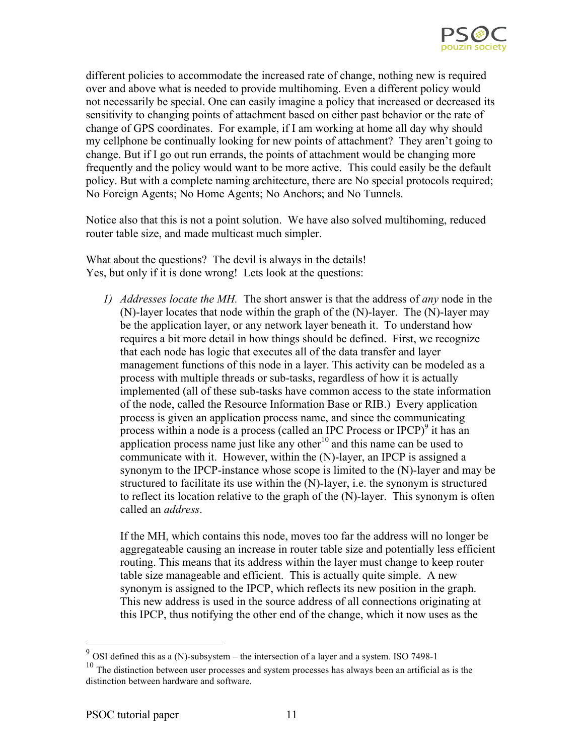

different policies to accommodate the increased rate of change, nothing new is required over and above what is needed to provide multihoming. Even a different policy would not necessarily be special. One can easily imagine a policy that increased or decreased its sensitivity to changing points of attachment based on either past behavior or the rate of change of GPS coordinates. For example, if I am working at home all day why should my cellphone be continually looking for new points of attachment? They aren't going to change. But if I go out run errands, the points of attachment would be changing more frequently and the policy would want to be more active. This could easily be the default policy. But with a complete naming architecture, there are No special protocols required; No Foreign Agents; No Home Agents; No Anchors; and No Tunnels.

Notice also that this is not a point solution. We have also solved multihoming, reduced router table size, and made multicast much simpler.

What about the questions? The devil is always in the details! Yes, but only if it is done wrong! Lets look at the questions:

*1) Addresses locate the MH.* The short answer is that the address of *any* node in the (N)-layer locates that node within the graph of the (N)-layer. The (N)-layer may be the application layer, or any network layer beneath it. To understand how requires a bit more detail in how things should be defined. First, we recognize that each node has logic that executes all of the data transfer and layer management functions of this node in a layer. This activity can be modeled as a process with multiple threads or sub-tasks, regardless of how it is actually implemented (all of these sub-tasks have common access to the state information of the node, called the Resource Information Base or RIB.) Every application process is given an application process name, and since the communicating process within a node is a process (called an IPC Process or IPCP) $9$  it has an application process name just like any other<sup>10</sup> and this name can be used to communicate with it. However, within the (N)-layer, an IPCP is assigned a synonym to the IPCP-instance whose scope is limited to the (N)-layer and may be structured to facilitate its use within the (N)-layer, i.e. the synonym is structured to reflect its location relative to the graph of the (N)-layer. This synonym is often called an *address*.

If the MH, which contains this node, moves too far the address will no longer be aggregateable causing an increase in router table size and potentially less efficient routing. This means that its address within the layer must change to keep router table size manageable and efficient. This is actually quite simple. A new synonym is assigned to the IPCP, which reflects its new position in the graph. This new address is used in the source address of all connections originating at this IPCP, thus notifying the other end of the change, which it now uses as the

 $9$  OSI defined this as a (N)-subsystem – the intersection of a layer and a system. ISO 7498-1

 $10$  The distinction between user processes and system processes has always been an artificial as is the distinction between hardware and software.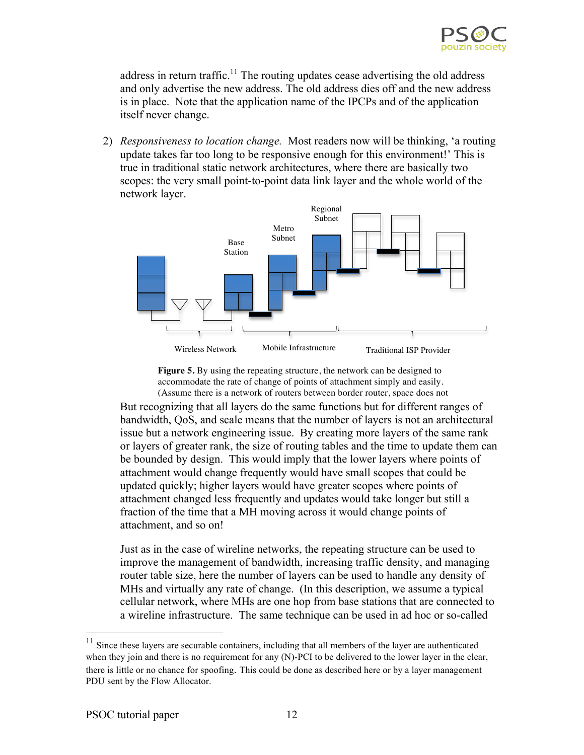

address in return traffic.<sup>11</sup> The routing updates cease advertising the old address and only advertise the new address. The old address dies off and the new address is in place. Note that the application name of the IPCPs and of the application itself never change.

2) *Responsiveness to location change.* Most readers now will be thinking, 'a routing update takes far too long to be responsive enough for this environment!' This is true in traditional static network architectures, where there are basically two scopes: the very small point-to-point data link layer and the whole world of the network layer.



**Figure 5.** By using the repeating structure, the network can be designed to accommodate the rate of change of points of attachment simply and easily. (Assume there is a network of routers between border router, space does not

But recognizing that all layers do the same functions but for different ranges of bandwidth, QoS, and scale means that the number of layers is not an architectural issue but a network engineering issue. By creating more layers of the same rank or layers of greater rank, the size of routing tables and the time to update them can be bounded by design. This would imply that the lower layers where points of attachment would change frequently would have small scopes that could be updated quickly; higher layers would have greater scopes where points of attachment changed less frequently and updates would take longer but still a fraction of the time that a MH moving across it would change points of attachment, and so on!

Just as in the case of wireline networks, the repeating structure can be used to improve the management of bandwidth, increasing traffic density, and managing router table size, here the number of layers can be used to handle any density of MHs and virtually any rate of change. (In this description, we assume a typical cellular network, where MHs are one hop from base stations that are connected to a wireline infrastructure. The same technique can be used in ad hoc or so-called

<sup>&</sup>lt;sup>11</sup> Since these layers are securable containers, including that all members of the layer are authenticated when they join and there is no requirement for any (N)-PCI to be delivered to the lower layer in the clear, there is little or no chance for spoofing. This could be done as described here or by a layer management PDU sent by the Flow Allocator.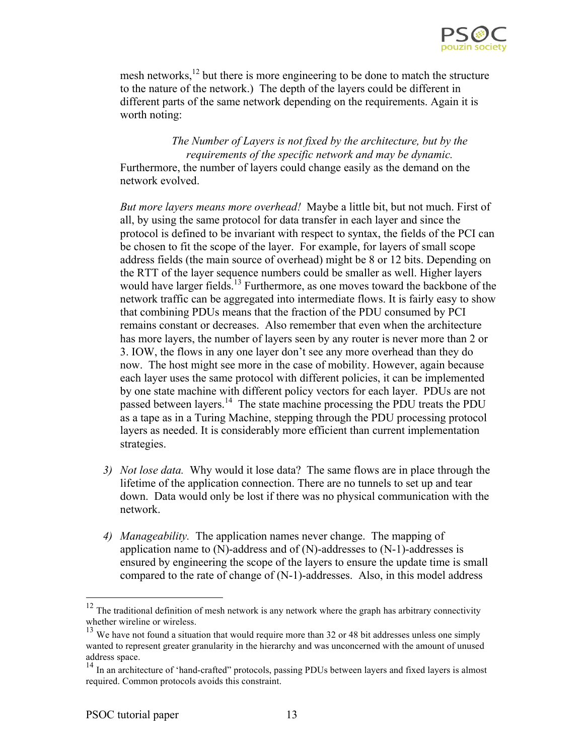

mesh networks, $^{12}$  but there is more engineering to be done to match the structure to the nature of the network.) The depth of the layers could be different in different parts of the same network depending on the requirements. Again it is worth noting:

*The Number of Layers is not fixed by the architecture, but by the requirements of the specific network and may be dynamic.* Furthermore, the number of layers could change easily as the demand on the network evolved.

*But more layers means more overhead!* Maybe a little bit, but not much. First of all, by using the same protocol for data transfer in each layer and since the protocol is defined to be invariant with respect to syntax, the fields of the PCI can be chosen to fit the scope of the layer. For example, for layers of small scope address fields (the main source of overhead) might be 8 or 12 bits. Depending on the RTT of the layer sequence numbers could be smaller as well. Higher layers would have larger fields.<sup>13</sup> Furthermore, as one moves toward the backbone of the network traffic can be aggregated into intermediate flows. It is fairly easy to show that combining PDUs means that the fraction of the PDU consumed by PCI remains constant or decreases. Also remember that even when the architecture has more layers, the number of layers seen by any router is never more than 2 or 3. IOW, the flows in any one layer don't see any more overhead than they do now. The host might see more in the case of mobility. However, again because each layer uses the same protocol with different policies, it can be implemented by one state machine with different policy vectors for each layer. PDUs are not passed between layers.<sup>14</sup> The state machine processing the PDU treats the PDU as a tape as in a Turing Machine, stepping through the PDU processing protocol layers as needed. It is considerably more efficient than current implementation strategies.

- *3) Not lose data.* Why would it lose data? The same flows are in place through the lifetime of the application connection. There are no tunnels to set up and tear down. Data would only be lost if there was no physical communication with the network.
- *4) Manageability.* The application names never change. The mapping of application name to  $(N)$ -address and of  $(N)$ -addresses to  $(N-1)$ -addresses is ensured by engineering the scope of the layers to ensure the update time is small compared to the rate of change of (N-1)-addresses. Also, in this model address

 $12$  The traditional definition of mesh network is any network where the graph has arbitrary connectivity whether wireline or wireless.

 $13$  We have not found a situation that would require more than 32 or 48 bit addresses unless one simply wanted to represent greater granularity in the hierarchy and was unconcerned with the amount of unused address space.

<sup>&</sup>lt;sup>14</sup> In an architecture of 'hand-crafted'' protocols, passing PDUs between layers and fixed layers is almost required. Common protocols avoids this constraint.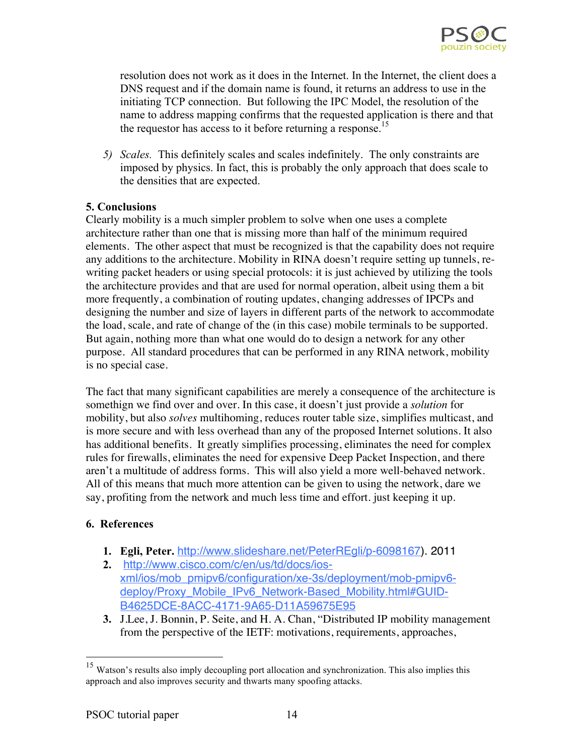

resolution does not work as it does in the Internet. In the Internet, the client does a DNS request and if the domain name is found, it returns an address to use in the initiating TCP connection. But following the IPC Model, the resolution of the name to address mapping confirms that the requested application is there and that the requestor has access to it before returning a response.<sup>15</sup>

*5) Scales.* This definitely scales and scales indefinitely. The only constraints are imposed by physics. In fact, this is probably the only approach that does scale to the densities that are expected.

## **5. Conclusions**

Clearly mobility is a much simpler problem to solve when one uses a complete architecture rather than one that is missing more than half of the minimum required elements. The other aspect that must be recognized is that the capability does not require any additions to the architecture. Mobility in RINA doesn't require setting up tunnels, rewriting packet headers or using special protocols: it is just achieved by utilizing the tools the architecture provides and that are used for normal operation, albeit using them a bit more frequently, a combination of routing updates, changing addresses of IPCPs and designing the number and size of layers in different parts of the network to accommodate the load, scale, and rate of change of the (in this case) mobile terminals to be supported. But again, nothing more than what one would do to design a network for any other purpose. All standard procedures that can be performed in any RINA network, mobility is no special case.

The fact that many significant capabilities are merely a consequence of the architecture is somethign we find over and over. In this case, it doesn't just provide a *solution* for mobility, but also *solves* multihoming, reduces router table size, simplifies multicast, and is more secure and with less overhead than any of the proposed Internet solutions. It also has additional benefits. It greatly simplifies processing, eliminates the need for complex rules for firewalls, eliminates the need for expensive Deep Packet Inspection, and there aren't a multitude of address forms. This will also yield a more well-behaved network. All of this means that much more attention can be given to using the network, dare we say, profiting from the network and much less time and effort. just keeping it up.

#### **6. References**

- **1. Egli, Peter.** http://www.slideshare.net/PeterREgli/p-6098167). 2011
- **2.** http://www.cisco.com/c/en/us/td/docs/iosxml/ios/mob\_pmipv6/configuration/xe-3s/deployment/mob-pmipv6 deploy/Proxy\_Mobile\_IPv6\_Network-Based\_Mobility.html#GUID-B4625DCE-8ACC-4171-9A65-D11A59675E95
- **3.** J.Lee, J. Bonnin, P. Seite, and H. A. Chan, "Distributed IP mobility management from the perspective of the IETF: motivations, requirements, approaches,

<sup>&</sup>lt;sup>15</sup> Watson's results also imply decoupling port allocation and synchronization. This also implies this approach and also improves security and thwarts many spoofing attacks.